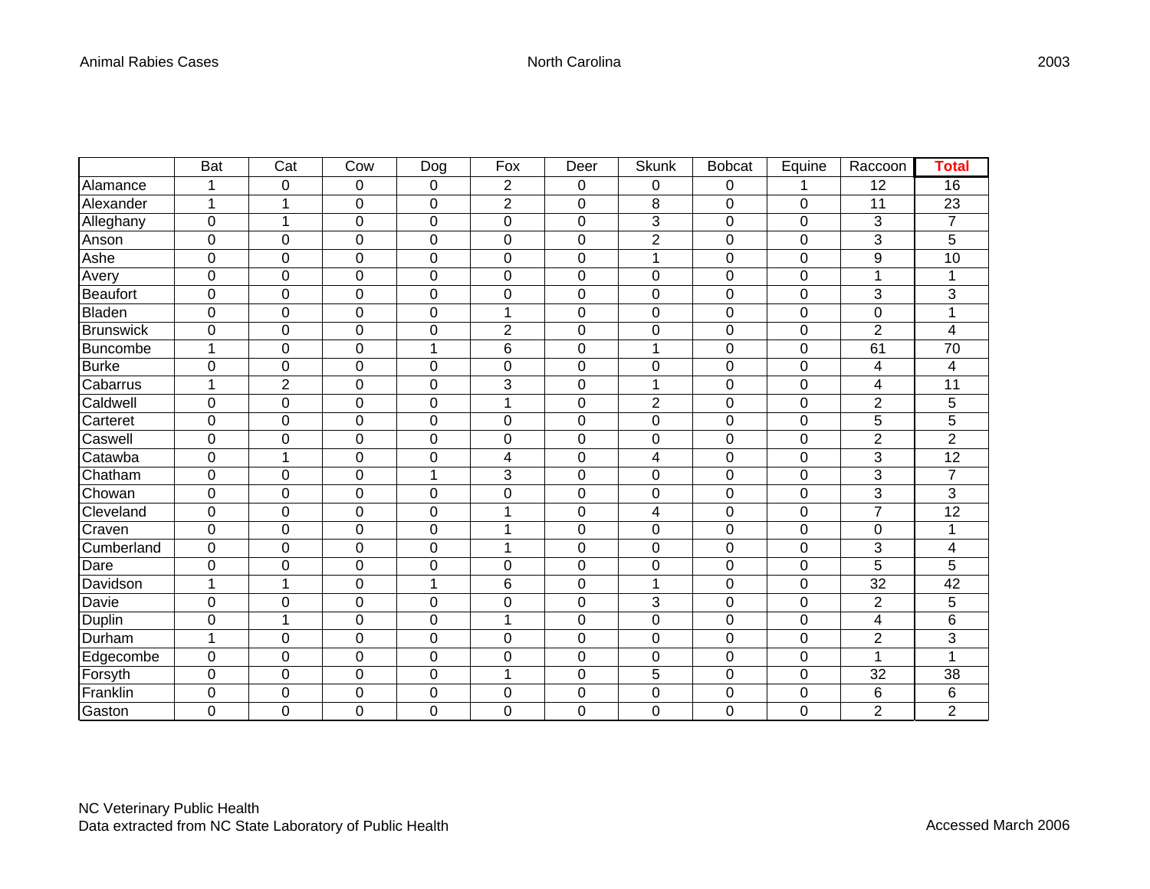|                  | <b>Bat</b>       | Cat                  | Cow              | Dog            | Fox            | Deer             | <b>Skunk</b>   | <b>Bobcat</b>    | Equine         | Raccoon        | Total          |
|------------------|------------------|----------------------|------------------|----------------|----------------|------------------|----------------|------------------|----------------|----------------|----------------|
| Alamance         | 1                | $\mathbf 0$          | 0                | 0              | $\overline{2}$ | 0                | $\mathbf 0$    | $\pmb{0}$        | 1              | 12             | 16             |
| Alexander        | 1                | 1                    | 0                | 0              | $\overline{2}$ | $\pmb{0}$        | 8              | $\pmb{0}$        | 0              | 11             | 23             |
| Alleghany        | $\mathbf 0$      | $\blacktriangleleft$ | 0                | 0              | 0              | $\mathbf 0$      | 3              | $\mathbf 0$      | 0              | 3              | $\overline{7}$ |
| Anson            | $\boldsymbol{0}$ | $\mathbf 0$          | 0                | 0              | 0              | $\boldsymbol{0}$ | $\overline{2}$ | $\mathbf 0$      | 0              | 3              | 5              |
| Ashe             | $\mathbf 0$      | 0                    | 0                | $\mathbf 0$    | 0              | $\mathbf 0$      | 1              | $\mathbf 0$      | 0              | 9              | 10             |
| Avery            | $\boldsymbol{0}$ | $\mathbf 0$          | $\boldsymbol{0}$ | $\mathbf 0$    | $\mathbf 0$    | $\boldsymbol{0}$ | $\pmb{0}$      | $\boldsymbol{0}$ | 0              | 1              | 1              |
| <b>Beaufort</b>  | $\mathbf 0$      | $\mathbf 0$          | 0                | $\mathbf 0$    | 0              | $\mathbf 0$      | $\mathbf 0$    | $\mathbf 0$      | 0              | 3              | 3              |
| Bladen           | $\mathbf 0$      | $\mathbf 0$          | $\mathbf 0$      | $\overline{0}$ | 1              | $\mathbf 0$      | $\mathbf 0$    | $\mathbf 0$      | 0              | $\mathbf 0$    | 1              |
| <b>Brunswick</b> | $\mathbf 0$      | $\mathbf 0$          | $\mathbf 0$      | $\Omega$       | $\overline{c}$ | $\mathbf 0$      | $\mathbf 0$    | 0                | 0              | $\overline{2}$ | 4              |
| <b>Buncombe</b>  | 1                | $\Omega$             | 0                | 1              | 6              | 0                | 1              | 0                | 0              | 61             | 70             |
| <b>Burke</b>     | $\pmb{0}$        | $\mathbf 0$          | $\pmb{0}$        | 0              | 0              | $\pmb{0}$        | $\pmb{0}$      | $\boldsymbol{0}$ | 0              | 4              | 4              |
| Cabarrus         | 1                | $\overline{2}$       | $\mathbf 0$      | $\mathbf 0$    | 3              | $\mathbf 0$      | 1              | $\mathbf 0$      | 0              | 4              | 11             |
| Caldwell         | $\mathbf 0$      | $\mathbf 0$          | $\mathbf 0$      | 0              | 1              | $\mathbf 0$      | $\overline{2}$ | $\mathbf 0$      | 0              | $\overline{2}$ | 5              |
| Carteret         | 0                | 0                    | 0                | 0              | 0              | 0                | $\mathbf 0$    | 0                | 0              | 5              | 5              |
| Caswell          | $\mathbf 0$      | $\mathbf 0$          | $\mathbf 0$      | 0              | 0              | $\mathbf 0$      | $\mathbf 0$    | $\mathbf 0$      | 0              | $\overline{2}$ | $\overline{2}$ |
| Catawba          | $\pmb{0}$        | 1                    | $\mathbf 0$      | 0              | 4              | $\mathbf 0$      | 4              | $\mathbf 0$      | 0              | 3              | 12             |
| Chatham          | 0                | 0                    | 0                | 1              | 3              | 0                | 0              | 0                | 0              | 3              | $\overline{7}$ |
| Chowan           | $\mathbf 0$      | $\mathbf 0$          | 0                | $\mathbf 0$    | 0              | $\mathbf 0$      | $\pmb{0}$      | $\mathbf 0$      | $\overline{0}$ | 3              | 3              |
| Cleveland        | $\mathbf 0$      | 0                    | $\mathbf 0$      | $\mathbf 0$    | 1              | 0                | 4              | 0                | 0              | $\overline{7}$ | 12             |
| Craven           | $\mathbf 0$      | $\mathbf 0$          | 0                | 0              | 1              | 0                | $\overline{0}$ | $\mathbf 0$      | 0              | $\mathbf 0$    | 1              |
| Cumberland       | $\boldsymbol{0}$ | $\pmb{0}$            | 0                | 0              | 1              | $\pmb{0}$        | 0              | $\boldsymbol{0}$ | 0              | 3              | 4              |
| Dare             | $\mathbf 0$      | $\overline{0}$       | 0                | 0              | 0              | $\mathbf 0$      | $\overline{0}$ | $\mathbf 0$      | 0              | 5              | 5              |
| Davidson         | 1                | 1                    | 0                | 1              | 6              | $\mathbf 0$      | 1              | 0                | 0              | 32             | 42             |
| Davie            | 0                | 0                    | 0                | $\Omega$       | 0              | 0                | 3              | 0                | 0              | $\overline{2}$ | 5              |
| Duplin           | $\pmb{0}$        | 1                    | $\boldsymbol{0}$ | $\mathbf 0$    | 1              | $\pmb{0}$        | $\pmb{0}$      | $\boldsymbol{0}$ | 0              | 4              | 6              |
| Durham           | 1                | 0                    | 0                | $\mathbf 0$    | 0              | 0                | $\mathbf 0$    | 0                | 0              | $\overline{2}$ | 3              |
| Edgecombe        | $\mathbf 0$      | $\mathbf 0$          | $\mathbf 0$      | $\Omega$       | 0              | $\mathbf 0$      | $\mathbf 0$    | $\mathbf 0$      | 0              | 1              | $\mathbf 1$    |
| Forsyth          | $\mathbf 0$      | $\mathbf 0$          | $\mathbf 0$      | 0              | 1              | $\boldsymbol{0}$ | 5              | $\mathbf 0$      | 0              | 32             | 38             |
| Franklin         | 0                | 0                    | 0                | 0              | 0              | 0                | 0              | 0                | 0              | 6              | 6              |
| Gaston           | $\overline{0}$   | $\overline{0}$       | 0                | $\overline{0}$ | $\overline{0}$ | 0                | $\overline{0}$ | $\overline{0}$   | $\overline{0}$ | $\overline{2}$ | $\overline{2}$ |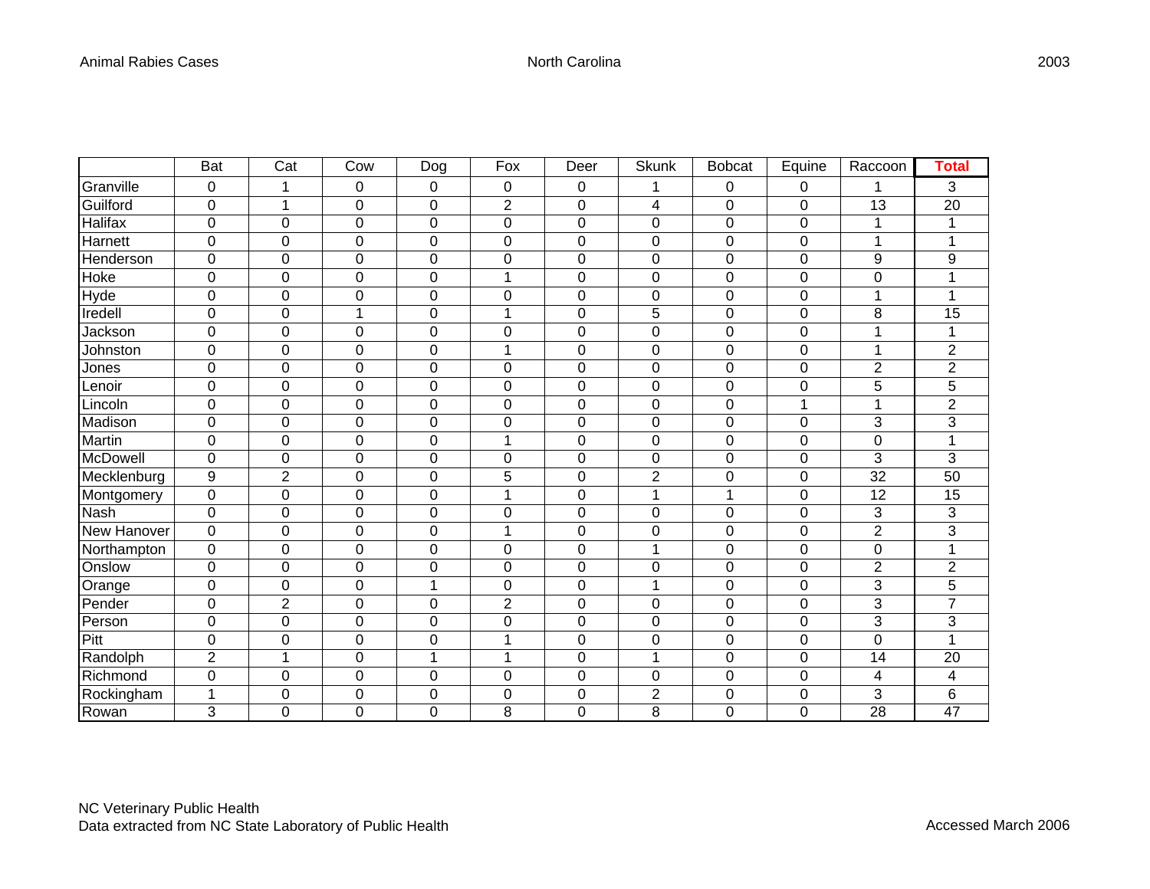|             | Bat            | Cat              | Cow      | <b>Dog</b>  | Fox            | Deer        | Skunk          | <b>Bobcat</b> | Equine         | Raccoon          | Total          |
|-------------|----------------|------------------|----------|-------------|----------------|-------------|----------------|---------------|----------------|------------------|----------------|
| Granville   | 0              | 1                | 0        | 0           | 0              | 0           | 1              | 0             | 0              | 1                | 3              |
| Guilford    | 0              | 1                | 0        | 0           | $\overline{2}$ | 0           | 4              | 0             | 0              | 13               | 20             |
| Halifax     | $\mathbf 0$    | $\mathbf 0$      | 0        | 0           | 0              | $\mathbf 0$ | $\mathbf 0$    | $\mathbf 0$   | $\mathbf 0$    | 1                | 1              |
| Harnett     | $\mathbf 0$    | $\mathbf 0$      | 0        | 0           | 0              | 0           | $\mathbf 0$    | $\mathbf 0$   | 0              | 1                | $\mathbf{1}$   |
| Henderson   | 0              | $\mathbf 0$      | 0        | 0           | 0              | 0           | $\mathbf 0$    | $\mathbf 0$   | 0              | 9                | 9              |
| Hoke        | $\pmb{0}$      | $\mathbf 0$      | 0        | 0           | 1              | 0           | $\pmb{0}$      | $\mathbf 0$   | 0              | $\boldsymbol{0}$ | 1              |
| Hyde        | $\mathbf 0$    | 0                | 0        | 0           | 0              | 0           | $\mathbf 0$    | 0             | 0              | 1                | 1              |
| Iredell     | $\mathbf 0$    | $\mathbf 0$      | 1        | 0           | 1              | 0           | 5              | $\mathbf 0$   | 0              | 8                | 15             |
| Jackson     | $\overline{0}$ | $\overline{0}$   | 0        | $\mathbf 0$ | 0              | 0           | $\mathbf 0$    | $\mathbf 0$   | 0              |                  | 1              |
| Johnston    | 0              | $\mathbf 0$      | 0        | 0           | 1              | 0           | $\mathbf 0$    | $\mathbf 0$   | 0              | 1                | $\overline{2}$ |
| Jones       | 0              | $\mathbf 0$      | 0        | 0           | 0              | 0           | $\mathbf 0$    | $\mathbf 0$   | 0              | $\overline{2}$   | $\overline{2}$ |
| Lenoir      | $\mathbf 0$    | $\mathbf 0$      | 0        | 0           | 0              | 0           | $\mathbf 0$    | $\mathbf 0$   | 0              | 5                | 5              |
| Lincoln     | $\mathbf 0$    | 0                | 0        | 0           | 0              | $\mathbf 0$ | $\mathbf 0$    | $\mathbf 0$   | 1              | 1                | $\overline{2}$ |
| Madison     | $\mathbf 0$    | $\overline{0}$   | 0        | 0           | 0              | 0           | $\mathbf 0$    | $\mathbf 0$   | 0              | 3                | 3              |
| Martin      | $\mathbf 0$    | $\mathbf 0$      | 0        | 0           | 1              | 0           | $\mathbf 0$    | $\mathbf 0$   | 0              | $\mathbf 0$      | 1              |
| McDowell    | 0              | $\pmb{0}$        | 0        | 0           | 0              | 0           | $\mathbf 0$    | $\mathbf 0$   | 0              | 3                | 3              |
| Mecklenburg | 9              | $\overline{2}$   | 0        | 0           | 5              | 0           | $\overline{2}$ | $\mathbf 0$   | 0              | 32               | 50             |
| Montgomery  | 0              | $\mathbf 0$      | 0        | 0           | 1              | $\mathbf 0$ | 1              | 1             | $\mathbf 0$    | 12               | 15             |
| Nash        | $\pmb{0}$      | $\mathbf 0$      | 0        | 0           | 0              | 0           | 0              | $\mathbf 0$   | 0              | 3                | 3              |
| New Hanover | $\overline{0}$ | 0                | 0        | $\mathbf 0$ | 1              | $\mathbf 0$ | $\mathbf 0$    | $\mathbf 0$   | $\mathbf 0$    | $\overline{2}$   | 3              |
| Northampton | $\pmb{0}$      | $\boldsymbol{0}$ | 0        | 0           | 0              | 0           | 1              | $\pmb{0}$     | 0              | $\boldsymbol{0}$ | 1              |
| Onslow      | 0              | $\mathbf 0$      | 0        | 0           | 0              | $\mathbf 0$ | $\mathbf 0$    | $\mathbf 0$   | 0              | $\overline{2}$   | $\overline{2}$ |
| Orange      | $\mathbf 0$    | $\Omega$         | $\Omega$ |             | 0              | 0           | 1              | 0             | 0              | 3                | 5              |
| Pender      | $\mathbf 0$    | $\overline{2}$   | 0        | 0           | $\overline{2}$ | 0           | $\mathbf 0$    | $\mathbf 0$   | 0              | 3                | $\overline{7}$ |
| Person      | $\mathbf 0$    | $\mathbf 0$      | 0        | $\mathbf 0$ | 0              | $\mathbf 0$ | $\mathbf 0$    | $\mathbf 0$   | $\mathbf 0$    | 3                | $\mathbf{3}$   |
| Pitt        | $\pmb{0}$      | 0                | 0        | 0           | 1              | 0           | 0              | 0             | 0              | $\mathbf 0$      | 1              |
| Randolph    | $\overline{2}$ | 1                | 0        | 1           | 1              | $\mathbf 0$ | 1              | $\mathbf 0$   | 0              | 14               | 20             |
| Richmond    | 0              | 0                | 0        | 0           | 0              | 0           | 0              | 0             | 0              | 4                | 4              |
| Rockingham  | $\mathbf 1$    | 0                | 0        | 0           | 0              | 0           | $\overline{2}$ | 0             | 0              | 3                | 6              |
| Rowan       | 3              | $\Omega$         | $\Omega$ | 0           | 8              | 0           | 8              | $\Omega$      | $\overline{0}$ | 28               | 47             |